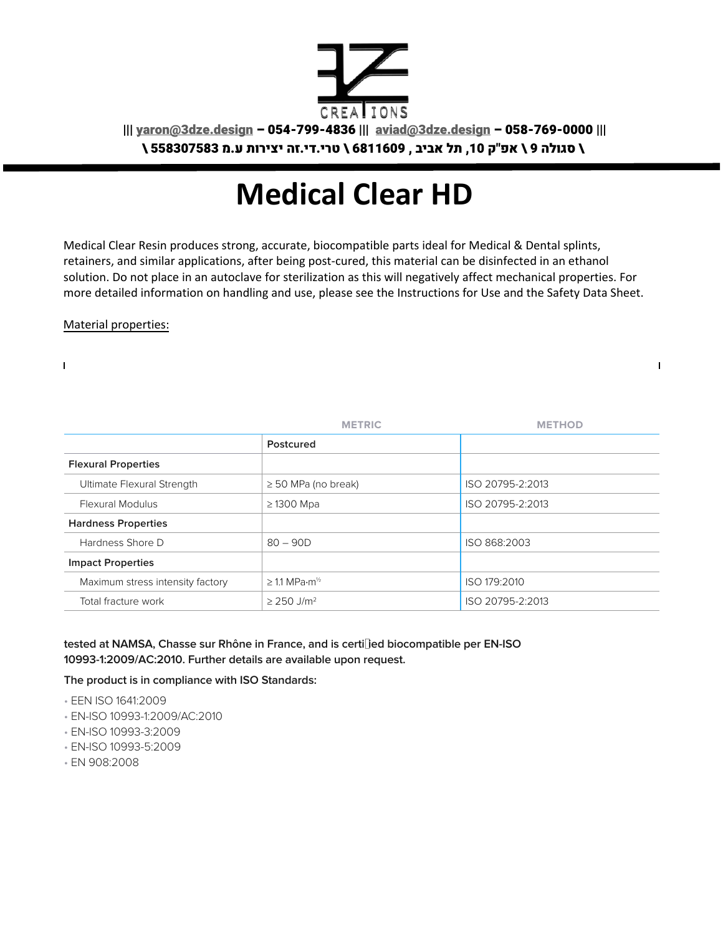

||| yaron@3dze.design – 054-799-4836 ||| aviad@3dze.design – 058-769-0000 |||

\ סגולה 9 \ אפ"ק ,10 תל אביב , 6811609 \ טרי.די.זה יצירות ע.מ 558307583 \

## **Medical Clear HD**

Medical Clear Resin produces strong, accurate, biocompatible parts ideal for Medical & Dental splints, retainers, and similar applications, after being post-cured, this material can be disinfected in an ethanol solution. Do not place in an autoclave for sterilization as this will negatively affect mechanical properties. For more detailed information on handling and use, please see the Instructions for Use and the Safety Data Sheet.

 $\mathbf{I}$ 

Material properties:

 $\mathbf{I}$ 

|                                  | <b>METRIC</b>                           | <b>METHOD</b>    |
|----------------------------------|-----------------------------------------|------------------|
|                                  | Postcured                               |                  |
| <b>Flexural Properties</b>       |                                         |                  |
| Ultimate Flexural Strength       | $\geq$ 50 MPa (no break)                | ISO 20795-2:2013 |
| <b>Flexural Modulus</b>          | $\geq$ 1300 Mpa                         | ISO 20795-2:2013 |
| <b>Hardness Properties</b>       |                                         |                  |
| Hardness Shore D                 | $80 - 90D$                              | ISO 868:2003     |
| <b>Impact Properties</b>         |                                         |                  |
| Maximum stress intensity factory | $\geq$ 1.1 MPa $\cdot$ m <sup>1/2</sup> | ISO 179:2010     |
| Total fracture work              | $\geq$ 250 J/m <sup>2</sup>             | ISO 20795-2:2013 |

## tested at NAMSA, Chasse sur Rhône in France, and is certi**ded biocompatible per EN-ISO 10993-1:2009/AC:2010. Further details are available upon request.**

## **The product is in compliance with ISO Standards:**

- EEN ISO 1641:2009
- EN-ISO 10993-1:2009/AC:2010
- EN-ISO 10993-3:2009
- EN-ISO 10993-5:2009
- EN 908:2008